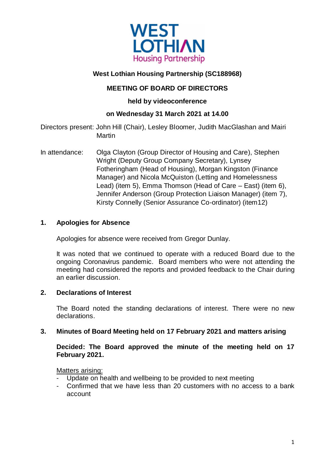

# **West Lothian Housing Partnership (SC188968)**

# **MEETING OF BOARD OF DIRECTORS**

**held by videoconference**

# **on Wednesday 31 March 2021 at 14.00**

Directors present: John Hill (Chair), Lesley Bloomer, Judith MacGlashan and Mairi **Martin** 

In attendance: Olga Clayton (Group Director of Housing and Care), Stephen Wright (Deputy Group Company Secretary), Lynsey Fotheringham (Head of Housing), Morgan Kingston (Finance Manager) and Nicola McQuiston (Letting and Homelessness Lead) (item 5), Emma Thomson (Head of Care – East) (item 6), Jennifer Anderson (Group Protection Liaison Manager) (item 7), Kirsty Connelly (Senior Assurance Co-ordinator) (item12)

# **1. Apologies for Absence**

Apologies for absence were received from Gregor Dunlay.

It was noted that we continued to operate with a reduced Board due to the ongoing Coronavirus pandemic. Board members who were not attending the meeting had considered the reports and provided feedback to the Chair during an earlier discussion.

# **2. Declarations of Interest**

The Board noted the standing declarations of interest. There were no new declarations.

# **3. Minutes of Board Meeting held on 17 February 2021 and matters arising**

**Decided: The Board approved the minute of the meeting held on 17 February 2021.**

Matters arising:

- Update on health and wellbeing to be provided to next meeting
- Confirmed that we have less than 20 customers with no access to a bank account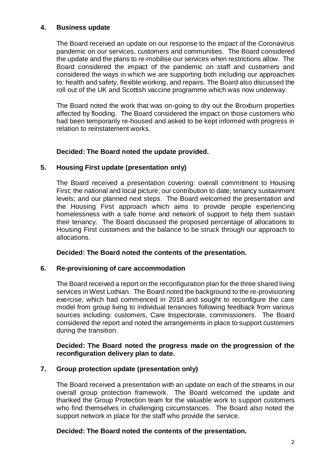## **4. Business update**

The Board received an update on our response to the impact of the Coronavirus pandemic on our services, customers and communities. The Board considered the update and the plans to re-mobilise our services when restrictions allow. The Board considered the impact of the pandemic on staff and customers and considered the ways in which we are supporting both including our approaches to: health and safety, flexible working, and repairs. The Board also discussed the roll out of the UK and Scottish vaccine programme which was now underway.

The Board noted the work that was on-going to dry out the Broxburn properties affected by flooding. The Board considered the impact on those customers who had been temporarily re-housed and asked to be kept informed with progress in relation to reinstatement works.

## **Decided: The Board noted the update provided.**

## **5. Housing First update (presentation only)**

The Board received a presentation covering: overall commitment to Housing First; the national and local picture; our contribution to date; tenancy sustainment levels; and our planned next steps. The Board welcomed the presentation and the Housing First approach which aims to provide people experiencing homelessness with a safe home and network of support to help them sustain their tenancy. The Board discussed the proposed percentage of allocations to Housing First customers and the balance to be struck through our approach to allocations.

 **Decided: The Board noted the contents of the presentation.**

#### **6. Re-provisioning of care accommodation**

The Board received a report on the reconfiguration plan for the three shared living services in West Lothian. The Board noted the background to the re-provisioning exercise, which had commenced in 2018 and sought to reconfigure the care model from group living to individual tenancies following feedback from various sources including: customers, Care Inspectorate, commissioners. The Board considered the report and noted the arrangements in place to support customers during the transition.

## **Decided: The Board noted the progress made on the progression of the reconfiguration delivery plan to date.**

# **7. Group protection update (presentation only)**

The Board received a presentation with an update on each of the streams in our overall group protection framework. The Board welcomed the update and thanked the Group Protection team for the valuable work to support customers who find themselves in challenging circumstances. The Board also noted the support network in place for the staff who provide the service.

# **Decided: The Board noted the contents of the presentation.**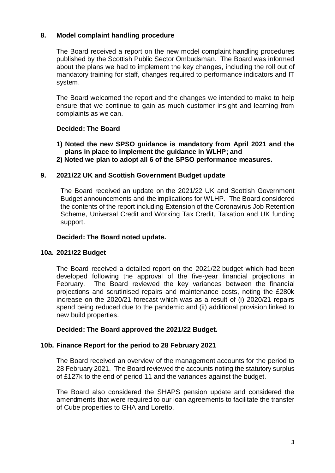# **8. Model complaint handling procedure**

The Board received a report on the new model complaint handling procedures published by the Scottish Public Sector Ombudsman. The Board was informed about the plans we had to implement the key changes, including the roll out of mandatory training for staff, changes required to performance indicators and IT system.

The Board welcomed the report and the changes we intended to make to help ensure that we continue to gain as much customer insight and learning from complaints as we can.

## **Decided: The Board**

**1) Noted the new SPSO guidance is mandatory from April 2021 and the plans in place to implement the guidance in WLHP; and 2) Noted we plan to adopt all 6 of the SPSO performance measures.**

#### **9. 2021/22 UK and Scottish Government Budget update**

The Board received an update on the 2021/22 UK and Scottish Government Budget announcements and the implications for WLHP. The Board considered the contents of the report including Extension of the Coronavirus Job Retention Scheme, Universal Credit and Working Tax Credit, Taxation and UK funding support.

#### **Decided: The Board noted update.**

#### **10a. 2021/22 Budget**

The Board received a detailed report on the 2021/22 budget which had been developed following the approval of the five-year financial projections in February. The Board reviewed the key variances between the financial projections and scrutinised repairs and maintenance costs, noting the £280k increase on the 2020/21 forecast which was as a result of (i) 2020/21 repairs spend being reduced due to the pandemic and (ii) additional provision linked to new build properties.

#### **Decided: The Board approved the 2021/22 Budget.**

#### **10b. Finance Report for the period to 28 February 2021**

The Board received an overview of the management accounts for the period to 28 February 2021. The Board reviewed the accounts noting the statutory surplus of £127k to the end of period 11 and the variances against the budget.

The Board also considered the SHAPS pension update and considered the amendments that were required to our loan agreements to facilitate the transfer of Cube properties to GHA and Loretto.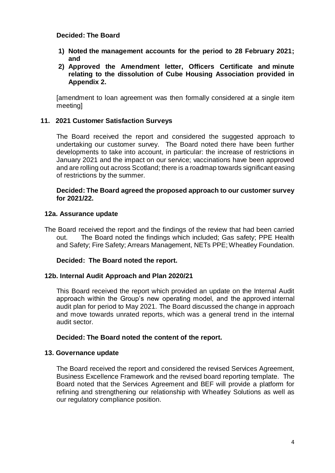## **Decided: The Board**

- **1) Noted the management accounts for the period to 28 February 2021; and**
- **2) Approved the Amendment letter, Officers Certificate and minute relating to the dissolution of Cube Housing Association provided in Appendix 2.**

[amendment to loan agreement was then formally considered at a single item meeting]

#### **11. 2021 Customer Satisfaction Surveys**

The Board received the report and considered the suggested approach to undertaking our customer survey. The Board noted there have been further developments to take into account, in particular: the increase of restrictions in January 2021 and the impact on our service; vaccinations have been approved and are rolling out across Scotland; there is a roadmap towards significant easing of restrictions by the summer.

#### **Decided: The Board agreed the proposed approach to our customer survey for 2021/22.**

#### **12a. Assurance update**

The Board received the report and the findings of the review that had been carried out. The Board noted the findings which included; Gas safety; PPE Health and Safety; Fire Safety; Arrears Management, NETs PPE; Wheatley Foundation.

#### **Decided: The Board noted the report.**

#### **12b. Internal Audit Approach and Plan 2020/21**

This Board received the report which provided an update on the Internal Audit approach within the Group's new operating model, and the approved internal audit plan for period to May 2021. The Board discussed the change in approach and move towards unrated reports, which was a general trend in the internal audit sector.

#### **Decided: The Board noted the content of the report.**

#### **13. Governance update**

The Board received the report and considered the revised Services Agreement, Business Excellence Framework and the revised board reporting template. The Board noted that the Services Agreement and BEF will provide a platform for refining and strengthening our relationship with Wheatley Solutions as well as our regulatory compliance position.